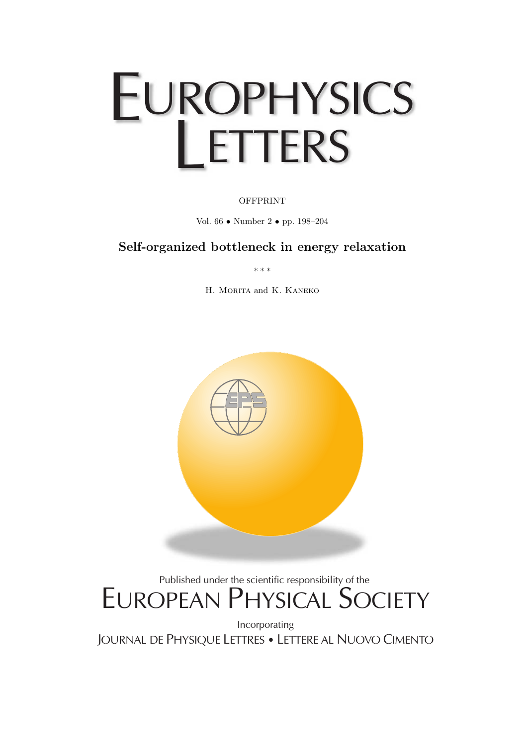# EUROPHYSICS LETTERS

### **OFFPRINT**

Vol. 66 • Number 2 • pp. 198–204

### **Self-organized bottleneck in energy relaxation**

∗∗∗

H. Morita and K. Kaneko



### Published under the scientific responsibility of the EUROPEAN PHYSICAL SOCIETY

Incorporating JOURNAL DE PHYSIQUE LETTRES • LETTERE AL NUOVO CIMENTO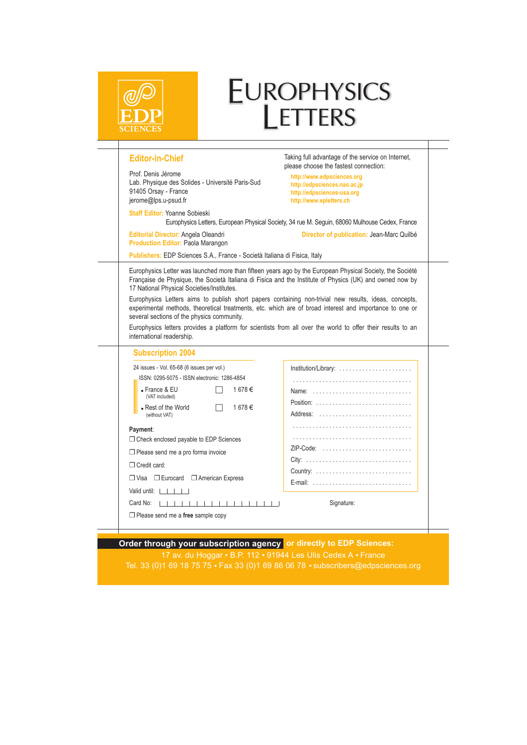

Τ

## **EUROPHYSICS LETTERS**

Τ

| <b>Editor-in-Chief</b>                                                                                                                                                                                                                                                                                                                                                                                                                                                                                                                | Taking full advantage of the service on Internet,<br>please choose the fastest connection:                          |  |
|---------------------------------------------------------------------------------------------------------------------------------------------------------------------------------------------------------------------------------------------------------------------------------------------------------------------------------------------------------------------------------------------------------------------------------------------------------------------------------------------------------------------------------------|---------------------------------------------------------------------------------------------------------------------|--|
| Prof. Denis Jérome<br>Lab. Physique des Solides - Université Paris-Sud<br>91405 Orsay - France<br>jerome@lps.u-psud.fr                                                                                                                                                                                                                                                                                                                                                                                                                | http://www.edpsciences.org<br>http://edpsciences.nao.ac.jp<br>http://edpsciences-usa.org<br>http://www.epletters.ch |  |
| <b>Staff Editor: Yoanne Sobieski</b>                                                                                                                                                                                                                                                                                                                                                                                                                                                                                                  | Europhysics Letters, European Physical Society, 34 rue M. Seguin, 68060 Mulhouse Cedex, France                      |  |
| Editorial Director: Angela Oleandri<br><b>Production Editor: Paola Marangon</b>                                                                                                                                                                                                                                                                                                                                                                                                                                                       | Director of publication: Jean-Marc Quilbé                                                                           |  |
| Publishers: EDP Sciences S.A., France - Società Italiana di Fisica, Italy                                                                                                                                                                                                                                                                                                                                                                                                                                                             |                                                                                                                     |  |
| Europhysics Letter was launched more than fifteen years ago by the European Physical Society, the Société<br>Française de Physique, the Società Italiana di Fisica and the Institute of Physics (UK) and owned now by<br>17 National Physical Societies/Institutes.<br>Europhysics Letters aims to publish short papers containing non-trivial new results, ideas, concepts,<br>experimental methods, theoretical treatments, etc. which are of broad interest and importance to one or<br>several sections of the physics community. |                                                                                                                     |  |
| Europhysics letters provides a platform for scientists from all over the world to offer their results to an<br>international readership.                                                                                                                                                                                                                                                                                                                                                                                              |                                                                                                                     |  |
| <b>Subscription 2004</b>                                                                                                                                                                                                                                                                                                                                                                                                                                                                                                              |                                                                                                                     |  |
| 24 issues - Vol. 65-68 (6 issues per vol.)                                                                                                                                                                                                                                                                                                                                                                                                                                                                                            | Institution/Library:                                                                                                |  |
| ISSN: 0295-5075 - ISSN electronic: 1286-4854                                                                                                                                                                                                                                                                                                                                                                                                                                                                                          |                                                                                                                     |  |
| • France & EU<br>1678€<br>$\Box$<br>(VAT included)                                                                                                                                                                                                                                                                                                                                                                                                                                                                                    | Name:                                                                                                               |  |
| • Rest of the World<br>1678€<br>П<br>(without VAT)                                                                                                                                                                                                                                                                                                                                                                                                                                                                                    | Position:<br>Address:                                                                                               |  |
| Payment:                                                                                                                                                                                                                                                                                                                                                                                                                                                                                                                              |                                                                                                                     |  |
| □ Check enclosed payable to EDP Sciences                                                                                                                                                                                                                                                                                                                                                                                                                                                                                              |                                                                                                                     |  |
| $\Box$ Please send me a pro forma invoice                                                                                                                                                                                                                                                                                                                                                                                                                                                                                             |                                                                                                                     |  |
| Credit card:                                                                                                                                                                                                                                                                                                                                                                                                                                                                                                                          |                                                                                                                     |  |
| □ Visa □ Eurocard □ American Express                                                                                                                                                                                                                                                                                                                                                                                                                                                                                                  |                                                                                                                     |  |
| Valid until: $\Box$                                                                                                                                                                                                                                                                                                                                                                                                                                                                                                                   |                                                                                                                     |  |
| Card No:                                                                                                                                                                                                                                                                                                                                                                                                                                                                                                                              | Signature:                                                                                                          |  |
| $\Box$ Please send me a free sample copy                                                                                                                                                                                                                                                                                                                                                                                                                                                                                              |                                                                                                                     |  |
|                                                                                                                                                                                                                                                                                                                                                                                                                                                                                                                                       |                                                                                                                     |  |

**Order through your subscription agency** or directly to EDP Sciences: 17 av. du Hoggar • B.P. 112 • 91944 Les Ulis Cedex A • France Tel. 33 (0)1 69 18 75 75 Fax 33 (0)1 69 86 06 78 subscribers@edpsciences.org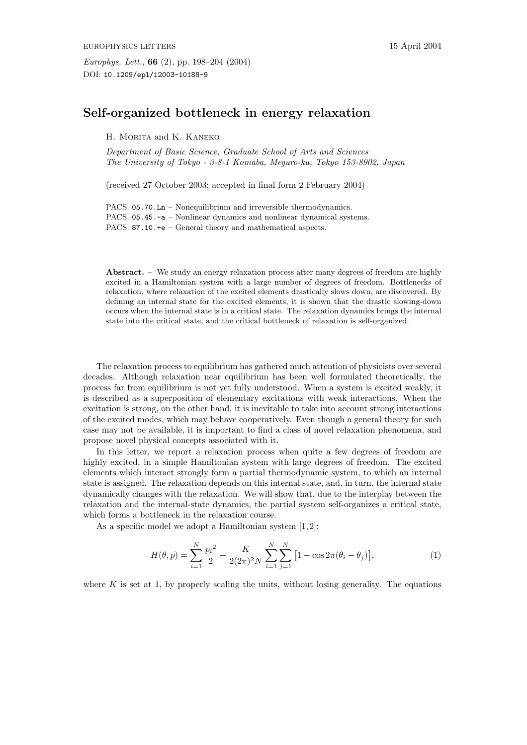### **Self-organized bottleneck in energy relaxation**

### H. Morita and K. Kaneko

*Department of Basic Science, Graduate School of Arts and Sciences The University of Tokyo - 3-8-1 Komaba, Meguro-ku, Tokyo 153-8902, Japan*

(received 27 October 2003; accepted in final form 2 February 2004)

PACS. 05.70.Ln – Nonequilibrium and irreversible thermodynamics. PACS. 05.45.-a – Nonlinear dynamics and nonlinear dynamical systems. PACS. 87.10.+e – General theory and mathematical aspects.

**Abstract.** – We study an energy relaxation process after many degrees of freedom are highly excited in a Hamiltonian system with a large number of degrees of freedom. Bottlenecks of relaxation, where relaxation of the excited elements drastically slows down, are discovered. By defining an internal state for the excited elements, it is shown that the drastic slowing-down occurs when the internal state is in a critical state. The relaxation dynamics brings the internal state into the critical state, and the critical bottleneck of relaxation is self-organized.

The relaxation process to equilibrium has gathered much attention of physicists over several decades. Although relaxation near equilibrium has been well formulated theoretically, the process far from equilibrium is not yet fully understood. When a system is excited weakly, it is described as a superposition of elementary excitations with weak interactions. When the excitation is strong, on the other hand, it is inevitable to take into account strong interactions of the excited modes, which may behave cooperatively. Even though a general theory for such case may not be available, it is important to find a class of novel relaxation phenomena, and propose novel physical concepts associated with it.

In this letter, we report a relaxation process when quite a few degrees of freedom are highly excited, in a simple Hamiltonian system with large degrees of freedom. The excited elements which interact strongly form a partial thermodynamic system, to which an internal state is assigned. The relaxation depends on this internal state, and, in turn, the internal state dynamically changes with the relaxation. We will show that, due to the interplay between the relaxation and the internal-state dynamics, the partial system self-organizes a critical state, which forms a bottleneck in the relaxation course.

As a specific model we adopt a Hamiltonian system  $[1, 2]$ :

$$
H(\theta, p) = \sum_{i=1}^{N} \frac{p_i^2}{2} + \frac{K}{2(2\pi)^2 N} \sum_{i=1}^{N} \sum_{j=1}^{N} \left[1 - \cos 2\pi (\theta_i - \theta_j)\right],
$$
 (1)

where  $K$  is set at 1, by properly scaling the units, without losing generality. The equations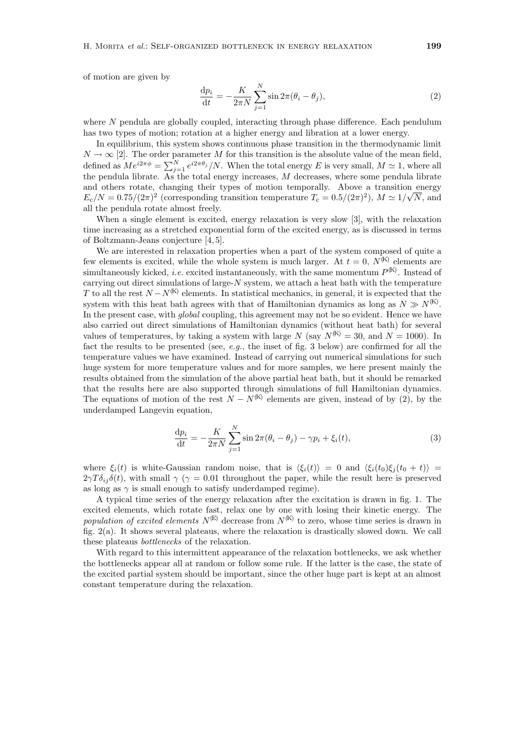of motion are given by

$$
\frac{\mathrm{d}p_i}{\mathrm{d}t} = -\frac{K}{2\pi N} \sum_{j=1}^{N} \sin 2\pi (\theta_i - \theta_j),\tag{2}
$$

where  $N$  pendula are globally coupled, interacting through phase difference. Each pendulum has two types of motion; rotation at a higher energy and libration at a lower energy.

In equilibrium, this system shows continuous phase transition in the thermodynamic limit  $N \to \infty$  [2]. The order parameter M for this transition is the absolute value of the mean field, defined as  $Me^{i2\pi\phi} = \sum_{j=1}^{N} e^{i2\pi\theta_j} / N$ . When the total energy E is very small,  $M \simeq 1$ , where all the pendula librate. As the total energy increases,  $M$  decreases, where some pendula librate and others rotate, changing their types of motion temporally. Above a transition energy  $E_c/N = 0.75/(2\pi)^2$  (corresponding transition temperature  $T_c = 0.5/(2\pi)^2$ ),  $M \simeq 1/\sqrt{N}$ , and all the pendula rotate almost freely.

When a single element is excited, energy relaxation is very slow [3], with the relaxation time increasing as a stretched exponential form of the excited energy, as is discussed in terms of Boltzmann-Jeans conjecture [4, 5].

We are interested in relaxation properties when a part of the system composed of quite a few elements is excited, while the whole system is much larger. At  $t = 0$ ,  $N^{(K)}$  elements are simultaneously kicked, *i.e.* excited instantaneously, with the same momentum  $P^{(K)}$ . Instead of carrying out direct simulations of large-N system, we attach a heat bath with the temperature T to all the rest  $N - N^{(K)}$  elements. In statistical mechanics, in general, it is expected that the system with this heat bath agrees with that of Hamiltonian dynamics as long as  $N \gg N^{(K)}$ . In the present case, with *global* coupling, this agreement may not be so evident. Hence we have also carried out direct simulations of Hamiltonian dynamics (without heat bath) for several values of temperatures, by taking a system with large N (say  $N^{(K)} = 30$ , and  $N = 1000$ ). In fact the results to be presented (see, *e.g.*, the inset of fig. 3 below) are confirmed for all the temperature values we have examined. Instead of carrying out numerical simulations for such huge system for more temperature values and for more samples, we here present mainly the results obtained from the simulation of the above partial heat bath, but it should be remarked that the results here are also supported through simulations of full Hamiltonian dynamics. The equations of motion of the rest  $N - N^{(K)}$  elements are given, instead of by (2), by the underdamped Langevin equation,

$$
\frac{\mathrm{d}p_i}{\mathrm{d}t} = -\frac{K}{2\pi N} \sum_{j=1}^N \sin 2\pi (\theta_i - \theta_j) - \gamma p_i + \xi_i(t),\tag{3}
$$

where  $\xi_i(t)$  is white-Gaussian random noise, that is  $\langle \xi_i(t) \rangle = 0$  and  $\langle \xi_i(t_0) \xi_j(t_0 + t) \rangle =$  $2\gamma T\delta_{ij}\delta(t)$ , with small  $\gamma$  ( $\gamma = 0.01$  throughout the paper, while the result here is preserved as long as  $\gamma$  is small enough to satisfy underdamped regime).

A typical time series of the energy relaxation after the excitation is drawn in fig. 1. The excited elements, which rotate fast, relax one by one with losing their kinetic energy. The *population of excited elements*  $N^{(E)}$  decrease from  $N^{(K)}$  to zero, whose time series is drawn in fig.  $2(a)$ . It shows several plateaus, where the relaxation is drastically slowed down. We call these plateaus *bottlenecks* of the relaxation.

With regard to this intermittent appearance of the relaxation bottlenecks, we ask whether the bottlenecks appear all at random or follow some rule. If the latter is the case, the state of the excited partial system should be important, since the other huge part is kept at an almost constant temperature during the relaxation.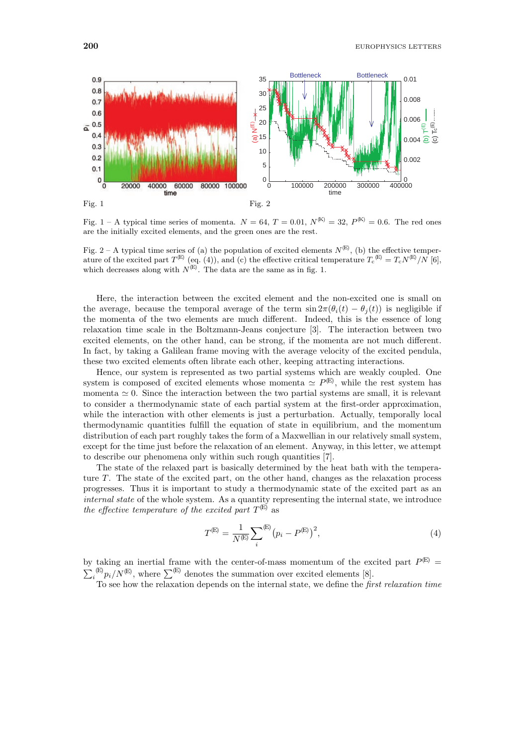

Fig. 1 – A typical time series of momenta.  $N = 64$ ,  $T = 0.01$ ,  $N^{(K)} = 32$ ,  $P^{(K)} = 0.6$ . The red ones are the initially excited elements, and the green ones are the rest.

Fig. 2 – A typical time series of (a) the population of excited elements  $N^{(E)}$ , (b) the effective temperature of the excited part  $T^{(E)}$  (eq. (4)), and (c) the effective critical temperature  $T_c^{(E)} = T_c N^{(E)}/N$  [6], which decreases along with  $N^{(E)}$ . The data are the same as in fig. 1.

Here, the interaction between the excited element and the non-excited one is small on the average, because the temporal average of the term  $\sin 2\pi(\theta_i(t) - \theta_i(t))$  is negligible if the momenta of the two elements are much different. Indeed, this is the essence of long relaxation time scale in the Boltzmann-Jeans conjecture [3]. The interaction between two excited elements, on the other hand, can be strong, if the momenta are not much different. In fact, by taking a Galilean frame moving with the average velocity of the excited pendula, these two excited elements often librate each other, keeping attracting interactions.

Hence, our system is represented as two partial systems which are weakly coupled. One system is composed of excited elements whose momenta  $\simeq P^{(\mathbb{E})}$ , while the rest system has momenta  $\approx 0$ . Since the interaction between the two partial systems are small, it is relevant to consider a thermodynamic state of each partial system at the first-order approximation, while the interaction with other elements is just a perturbation. Actually, temporally local thermodynamic quantities fulfill the equation of state in equilibrium, and the momentum distribution of each part roughly takes the form of a Maxwellian in our relatively small system, except for the time just before the relaxation of an element. Anyway, in this letter, we attempt to describe our phenomena only within such rough quantities [7].

The state of the relaxed part is basically determined by the heat bath with the temperature T. The state of the excited part, on the other hand, changes as the relaxation process progresses. Thus it is important to study a thermodynamic state of the excited part as an *internal state* of the whole system. As a quantity representing the internal state, we introduce *the effective temperature of the excited part*  $T^{(E)}$  as

$$
T^{(E)} = \frac{1}{N^{(E)}} \sum_{i}^{(E)} (p_i - P^{(E)})^2,
$$
\n(4)

by taking an inertial frame with the center-of-mass momentum of the excited part  $P^{(E)}$  =  $\sum_i^{(E)} p_i/N^{(E)}$ , where  $\sum^{(E)}$  denotes the summation over excited elements [8].

To see how the relaxation depends on the internal state, we define the *first relaxation time*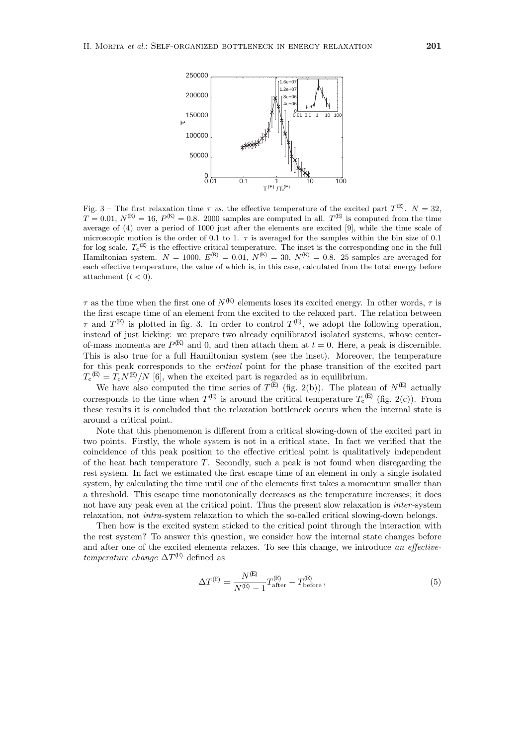

Fig. 3 – The first relaxation time  $\tau$  vs. the effective temperature of the excited part  $T^{(E)}$ .  $N = 32$ ,  $T = 0.01$ ,  $N^{(K)} = 16$ ,  $P^{(K)} = 0.8$ . 2000 samples are computed in all.  $T^{(E)}$  is computed from the time average of (4) over a period of 1000 just after the elements are excited [9], while the time scale of microscopic motion is the order of 0.1 to 1.  $\tau$  is averaged for the samples within the bin size of 0.1 for log scale.  $T_c^{(E)}$  is the effective critical temperature. The inset is the corresponding one in the full Hamiltonian system.  $N = 1000$ ,  $E^{(R)} = 0.01$ ,  $N^{(K)} = 30$ ,  $N^{(K)} = 0.8$ . 25 samples are averaged for each effective temperature, the value of which is, in this case, calculated from the total energy before attachment  $(t < 0)$ .

 $\tau$  as the time when the first one of  $N^{(K)}$  elements loses its excited energy. In other words,  $\tau$  is the first escape time of an element from the excited to the relaxed part. The relation between  $\tau$  and  $T^{(E)}$  is plotted in fig. 3. In order to control  $T^{(E)}$ , we adopt the following operation, instead of just kicking: we prepare two already equilibrated isolated systems, whose centerof-mass momenta are  $P^{(K)}$  and 0, and then attach them at  $t = 0$ . Here, a peak is discernible. This is also true for a full Hamiltonian system (see the inset). Moreover, the temperature for this peak corresponds to the *critical* point for the phase transition of the excited part  $T_c^{(E)} = T_c N^{(E)}/N$  [6], when the excited part is regarded as in equilibrium.

We have also computed the time series of  $T^{(E)}$  (fig. 2(b)). The plateau of  $N^{(E)}$  actually corresponds to the time when  $T^{(E)}$  is around the critical temperature  $T_c^{(E)}$  (fig. 2(c)). From these results it is concluded that the relaxation bottleneck occurs when the internal state is around a critical point.

Note that this phenomenon is different from a critical slowing-down of the excited part in two points. Firstly, the whole system is not in a critical state. In fact we verified that the coincidence of this peak position to the effective critical point is qualitatively independent of the heat bath temperature  $T$ . Secondly, such a peak is not found when disregarding the rest system. In fact we estimated the first escape time of an element in only a single isolated system, by calculating the time until one of the elements first takes a momentum smaller than a threshold. This escape time monotonically decreases as the temperature increases; it does not have any peak even at the critical point. Thus the present slow relaxation is *inter* -system relaxation, not *intra*-system relaxation to which the so-called critical slowing-down belongs.

Then how is the excited system sticked to the critical point through the interaction with the rest system? To answer this question, we consider how the internal state changes before and after one of the excited elements relaxes. To see this change, we introduce *an effectivetemperature change*  $\Delta T^{(E)}$  defined as

$$
\Delta T^{(\text{E})} = \frac{N^{(\text{E})}}{N^{(\text{E})} - 1} T_{\text{after}}^{(\text{E})} - T_{\text{before}}^{(\text{E})}, \qquad (5)
$$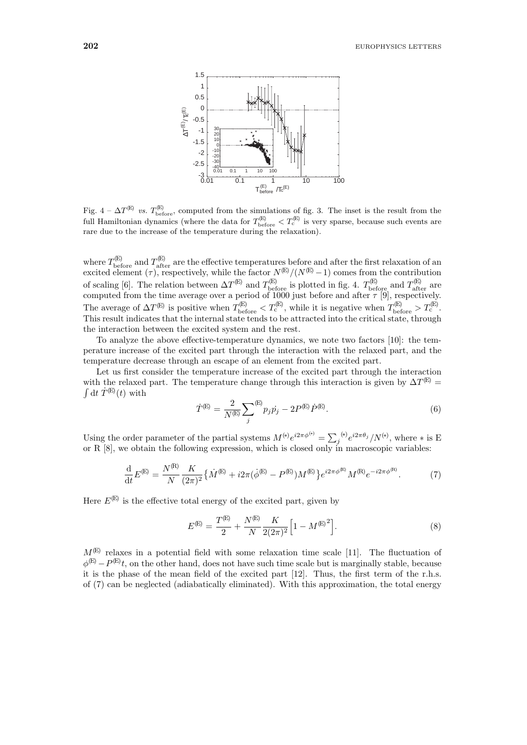

Fig. 4 –  $\Delta T^{(E)}$  vs.  $T_{\text{before}}^{(E)}$ , computed from the simulations of fig. 3. The inset is the result from the full Hamiltonian dynamics (where the data for  $T_{\text{before}}^{(E)} < T_{\text{c}}^{(E)}$  is very sparse, because such events are rare due to the increase of the temperature during the relaxation).

where  $T_{\text{before}}^{(E)}$  and  $T_{\text{after}}^{(E)}$  are the effective temperatures before and after the first relaxation of an excited element ( $\tau$ ), respectively, while the factor  $N^{(E)}/(N^{(E)}-1)$  comes from the contribution of scaling [6]. The relation between  $\Delta T^{(\text{E})}$  and  $T^{(\text{E})}_{\text{before}}$  is plotted in fig. 4.  $T^{(\text{E})}_{\text{before}}$  and  $T^{(\text{E})}_{\text{after}}$  are computed from the time average over a period of 1000 just before and after  $\tau$  [9], respectively. The average of  $\Delta T^{(\text{E})}$  is positive when  $T^{(\text{E})}_{\text{before}} < T^{(\text{E})}_{\text{c}}$ , while it is negative when  $T^{(\text{E})}_{\text{before}} > T^{(\text{E})}_{\text{c}}$ . This result indicates that the internal state tends to be attracted into the critical state, through the interaction between the excited system and the rest.

To analyze the above effective-temperature dynamics, we note two factors [10]: the temperature increase of the excited part through the interaction with the relaxed part, and the temperature decrease through an escape of an element from the excited part.

Let us first consider the temperature increase of the excited part through the interaction with the relaxed part. The temperature change through this interaction is given by  $\Delta T^{(E)}$  =  $\int dt \dot{T}^{(E)}(t)$  with

$$
\dot{T}^{(E)} = \frac{2}{N^{(E)}} \sum_{j}^{(E)} p_j \dot{p}_j - 2P^{(E)} \dot{P}^{(E)}.
$$
\n(6)

Using the order parameter of the partial systems  $M^{(*)}e^{i2\pi\phi^{(*)}} = \sum_j {}^{(*)}e^{i2\pi\theta_j} / N^{(*)}$ , where  $*$  is E or R [8], we obtain the following expression, which is closed only in macroscopic variables:

$$
\frac{\mathrm{d}}{\mathrm{d}t}E^{(\mathrm{E})} = \frac{N^{(\mathrm{R})}}{N} \frac{K}{(2\pi)^2} \{ \dot{M}^{(\mathrm{E})} + i2\pi (\dot{\phi}^{(\mathrm{E})} - P^{(\mathrm{E})}) M^{(\mathrm{E})} \} e^{i2\pi \phi^{(\mathrm{E})}} M^{(\mathrm{R})} e^{-i2\pi \phi^{(\mathrm{R})}}. \tag{7}
$$

Here  $E^{(E)}$  is the effective total energy of the excited part, given by

$$
E^{(E)} = \frac{T^{(E)}}{2} + \frac{N^{(E)}}{N} \frac{K}{2(2\pi)^2} \left[1 - M^{(E)^2}\right].
$$
 (8)

 $M^{(E)}$  relaxes in a potential field with some relaxation time scale [11]. The fluctuation of  $\phi^{(E)} - P^{(E)}t$ , on the other hand, does not have such time scale but is marginally stable, because it is the phase of the mean field of the excited part [12]. Thus, the first term of the r.h.s. of (7) can be neglected (adiabatically eliminated). With this approximation, the total energy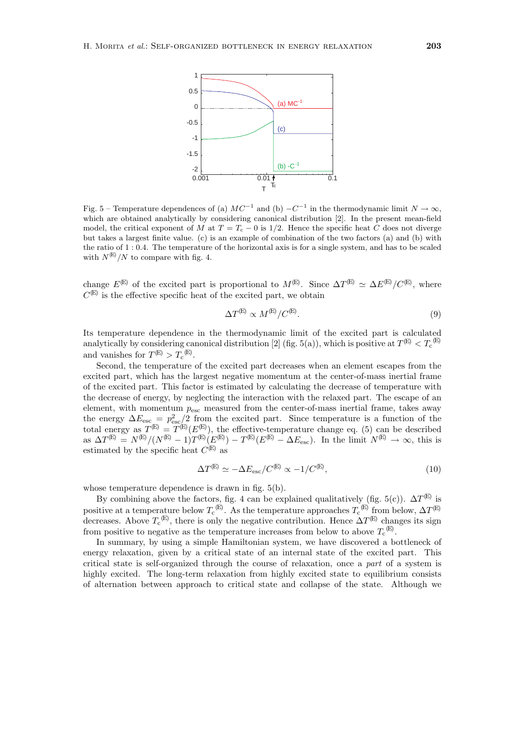

Fig. 5 – Temperature dependences of (a)  $MC^{-1}$  and (b)  $-C^{-1}$  in the thermodynamic limit  $N \to \infty$ , which are obtained analytically by considering canonical distribution [2]. In the present mean-field model, the critical exponent of M at  $T = T_c - 0$  is 1/2. Hence the specific heat C does not diverge but takes a largest finite value. (c) is an example of combination of the two factors (a) and (b) with the ratio of 1 : 0.4. The temperature of the horizontal axis is for a single system, and has to be scaled with  $N^{(E)}/N$  to compare with fig. 4.

change  $E^{(\text{E})}$  of the excited part is proportional to  $M^{(\text{E})}$ . Since  $\Delta T^{(\text{E})} \simeq \Delta E^{(\text{E})}/C^{(\text{E})}$ , where  $C^{(E)}$  is the effective specific heat of the excited part, we obtain

$$
\Delta T^{(\mathrm{E})} \propto M^{(\mathrm{E})} / C^{(\mathrm{E})}.\tag{9}
$$

Its temperature dependence in the thermodynamic limit of the excited part is calculated analytically by considering canonical distribution [2] (fig. 5(a)), which is positive at  $T^{(\text{E})} < T_c^{(\text{E})}$ and vanishes for  $T^{(E)} > T_c^{(E)}$ .

Second, the temperature of the excited part decreases when an element escapes from the excited part, which has the largest negative momentum at the center-of-mass inertial frame of the excited part. This factor is estimated by calculating the decrease of temperature with the decrease of energy, by neglecting the interaction with the relaxed part. The escape of an element, with momentum  $p_{\text{esc}}$  measured from the center-of-mass inertial frame, takes away the energy  $\Delta E_{\rm esc} = p_{\rm esc}^2/2$  from the excited part. Since temperature is a function of the total energy as  $T^{(E)} = T^{(E)}(E^{(E)})$ , the effective-temperature change eq. (5) can be described as  $\Delta T^{(E)} = N^{(E)}/(N^{(E)}-1)T^{(E)}(E^{(E)}) - T^{(E)}(E^{(E)} - \Delta E_{\rm esc})$ . In the limit  $N^{(E)} \to \infty$ , this is estimated by the specific heat  $C^{(E)}$  as

$$
\Delta T^{(\text{E})} \simeq -\Delta E_{\text{esc}} / C^{(\text{E})} \propto -1 / C^{(\text{E})}, \tag{10}
$$

whose temperature dependence is drawn in fig. 5(b).

By combining above the factors, fig. 4 can be explained qualitatively (fig. 5(c)).  $\Delta T^{(E)}$  is positive at a temperature below  $T_c^{(E)}$ . As the temperature approaches  $T_c^{(E)}$  from below,  $\Delta T^{(E)}$ decreases. Above  $T_c^{(E)}$ , there is only the negative contribution. Hence  $\Delta T^{(E)}$  changes its sign from positive to negative as the temperature increases from below to above  $T_c^{(\text{E})}$ .

In summary, by using a simple Hamiltonian system, we have discovered a bottleneck of energy relaxation, given by a critical state of an internal state of the excited part. This critical state is self-organized through the course of relaxation, once a *part* of a system is highly excited. The long-term relaxation from highly excited state to equilibrium consists of alternation between approach to critical state and collapse of the state. Although we